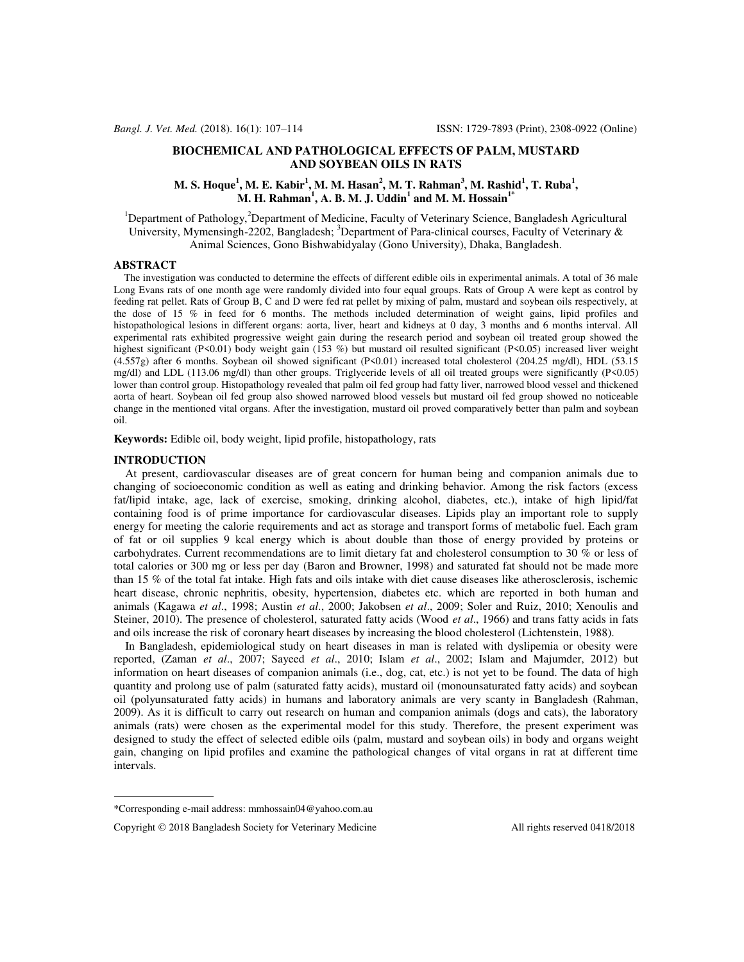# **BIOCHEMICAL AND PATHOLOGICAL EFFECTS OF PALM, MUSTARD AND SOYBEAN OILS IN RATS**

# **M. S. Hoque<sup>1</sup> , M. E. Kabir<sup>1</sup> , M. M. Hasan<sup>2</sup> , M. T. Rahman<sup>3</sup> , M. Rashid<sup>1</sup> , T. Ruba<sup>1</sup> , M. H. Rahman<sup>1</sup> , A. B. M. J. Uddin<sup>1</sup> and M. M. Hossain1\***

<sup>1</sup>Department of Pathology,<sup>2</sup>Department of Medicine, Faculty of Veterinary Science, Bangladesh Agricultural University, Mymensingh-2202, Bangladesh;  ${}^{3}$ Department of Para-clinical courses, Faculty of Veterinary & Animal Sciences, Gono Bishwabidyalay (Gono University), Dhaka, Bangladesh.

## **ABSTRACT**

 The investigation was conducted to determine the effects of different edible oils in experimental animals. A total of 36 male Long Evans rats of one month age were randomly divided into four equal groups. Rats of Group A were kept as control by feeding rat pellet. Rats of Group B, C and D were fed rat pellet by mixing of palm, mustard and soybean oils respectively, at the dose of 15 % in feed for 6 months. The methods included determination of weight gains, lipid profiles and histopathological lesions in different organs: aorta, liver, heart and kidneys at 0 day, 3 months and 6 months interval. All experimental rats exhibited progressive weight gain during the research period and soybean oil treated group showed the highest significant (P<0.01) body weight gain (153 %) but mustard oil resulted significant (P<0.05) increased liver weight (4.557g) after 6 months. Soybean oil showed significant (P<0.01) increased total cholesterol (204.25 mg/dl), HDL (53.15 mg/dl) and LDL (113.06 mg/dl) than other groups. Triglyceride levels of all oil treated groups were significantly (P<0.05) lower than control group. Histopathology revealed that palm oil fed group had fatty liver, narrowed blood vessel and thickened aorta of heart. Soybean oil fed group also showed narrowed blood vessels but mustard oil fed group showed no noticeable change in the mentioned vital organs. After the investigation, mustard oil proved comparatively better than palm and soybean oil.

**Keywords:** Edible oil, body weight, lipid profile, histopathology, rats

#### **INTRODUCTION**

 At present, cardiovascular diseases are of great concern for human being and companion animals due to changing of socioeconomic condition as well as eating and drinking behavior. Among the risk factors (excess fat/lipid intake, age, lack of exercise, smoking, drinking alcohol, diabetes, etc.), intake of high lipid/fat containing food is of prime importance for cardiovascular diseases. Lipids play an important role to supply energy for meeting the calorie requirements and act as storage and transport forms of metabolic fuel. Each gram of fat or oil supplies 9 kcal energy which is about double than those of energy provided by proteins or carbohydrates. Current recommendations are to limit dietary fat and cholesterol consumption to 30 % or less of total calories or 300 mg or less per day (Baron and Browner, 1998) and saturated fat should not be made more than 15 % of the total fat intake. High fats and oils intake with diet cause diseases like atherosclerosis, ischemic heart disease, chronic nephritis, obesity, hypertension, diabetes etc. which are reported in both human and animals (Kagawa *et al*., 1998; Austin *et al*., 2000; Jakobsen *et al*., 2009; Soler and Ruiz, 2010; Xenoulis and Steiner, 2010). The presence of cholesterol, saturated fatty acids (Wood *et al*., 1966) and trans fatty acids in fats and oils increase the risk of coronary heart diseases by increasing the blood cholesterol (Lichtenstein, 1988).

 In Bangladesh, epidemiological study on heart diseases in man is related with dyslipemia or obesity were reported, (Zaman *et al*., 2007; Sayeed *et al*., 2010; Islam *et al*., 2002; Islam and Majumder, 2012) but information on heart diseases of companion animals (i.e., dog, cat, etc.) is not yet to be found. The data of high quantity and prolong use of palm (saturated fatty acids), mustard oil (monounsaturated fatty acids) and soybean oil (polyunsaturated fatty acids) in humans and laboratory animals are very scanty in Bangladesh (Rahman, 2009). As it is difficult to carry out research on human and companion animals (dogs and cats), the laboratory animals (rats) were chosen as the experimental model for this study. Therefore, the present experiment was designed to study the effect of selected edible oils (palm, mustard and soybean oils) in body and organs weight gain, changing on lipid profiles and examine the pathological changes of vital organs in rat at different time intervals.

<sup>\*</sup>Corresponding e-mail address[: mmhossain04@yahoo.com.au](mailto:mmhossain04@yahoo.com.au) 

Copyright  $\odot$  2018 Bangladesh Society for Veterinary Medicine All rights reserved 0418/2018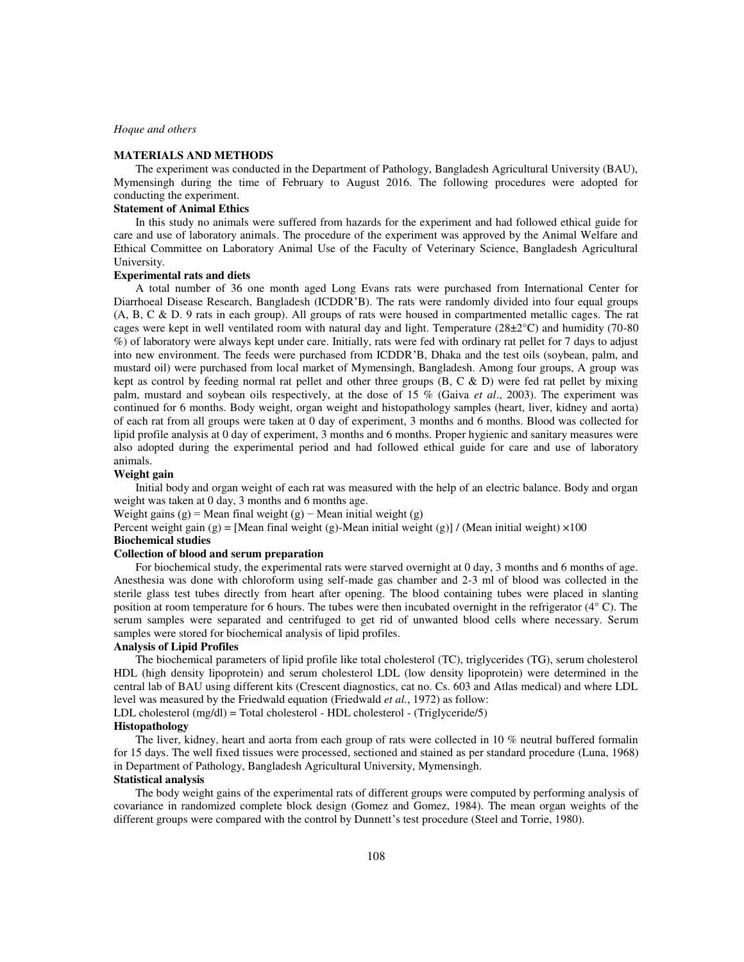### **MATERIALS AND METHODS**

The experiment was conducted in the Department of Pathology, Bangladesh Agricultural University (BAU), Mymensingh during the time of February to August 2016. The following procedures were adopted for conducting the experiment.

# **Statement of Animal Ethics**

In this study no animals were suffered from hazards for the experiment and had followed ethical guide for care and use of laboratory animals. The procedure of the experiment was approved by the Animal Welfare and Ethical Committee on Laboratory Animal Use of the Faculty of Veterinary Science, Bangladesh Agricultural University.

#### **Experimental rats and diets**

A total number of 36 one month aged Long Evans rats were purchased from International Center for Diarrhoeal Disease Research, Bangladesh (ICDDR'B). The rats were randomly divided into four equal groups (A, B, C & D. 9 rats in each group). All groups of rats were housed in compartmented metallic cages. The rat cages were kept in well ventilated room with natural day and light. Temperature  $(28\pm2°C)$  and humidity (70-80) %) of laboratory were always kept under care. Initially, rats were fed with ordinary rat pellet for 7 days to adjust into new environment. The feeds were purchased from ICDDR'B, Dhaka and the test oils (soybean, palm, and mustard oil) were purchased from local market of Mymensingh, Bangladesh. Among four groups, A group was kept as control by feeding normal rat pellet and other three groups  $(B, C \& D)$  were fed rat pellet by mixing palm, mustard and soybean oils respectively, at the dose of 15 % (Gaiva *et al*., 2003). The experiment was continued for 6 months. Body weight, organ weight and histopathology samples (heart, liver, kidney and aorta) of each rat from all groups were taken at 0 day of experiment, 3 months and 6 months. Blood was collected for lipid profile analysis at 0 day of experiment, 3 months and 6 months. Proper hygienic and sanitary measures were also adopted during the experimental period and had followed ethical guide for care and use of laboratory animals.

### **Weight gain**

Initial body and organ weight of each rat was measured with the help of an electric balance. Body and organ weight was taken at 0 day, 3 months and 6 months age.

Weight gains  $(g)$  = Mean final weight  $(g)$  – Mean initial weight  $(g)$ 

Percent weight gain (g) = [Mean final weight (g)-Mean initial weight (g)] / (Mean initial weight)  $\times 100$ 

### **Biochemical studies**

## **Collection of blood and serum preparation**

For biochemical study, the experimental rats were starved overnight at 0 day, 3 months and 6 months of age. Anesthesia was done with chloroform using self-made gas chamber and 2-3 ml of blood was collected in the sterile glass test tubes directly from heart after opening. The blood containing tubes were placed in slanting position at room temperature for 6 hours. The tubes were then incubated overnight in the refrigerator (4° C). The serum samples were separated and centrifuged to get rid of unwanted blood cells where necessary. Serum samples were stored for biochemical analysis of lipid profiles.

## **Analysis of Lipid Profiles**

The biochemical parameters of lipid profile like total cholesterol (TC), triglycerides (TG), serum cholesterol HDL (high density lipoprotein) and serum cholesterol LDL (low density lipoprotein) were determined in the central lab of BAU using different kits (Crescent diagnostics, cat no. Cs. 603 and Atlas medical) and where LDL level was measured by the Friedwald equation (Friedwald *et al.*, 1972) as follow:

LDL cholesterol (mg/dl) = Total cholesterol - HDL cholesterol - (Triglyceride/5)

## **Histopathology**

The liver, kidney, heart and aorta from each group of rats were collected in 10 % neutral buffered formalin for 15 days. The well fixed tissues were processed, sectioned and stained as per standard procedure (Luna, 1968) in Department of Pathology, Bangladesh Agricultural University, Mymensingh.

## **Statistical analysis**

The body weight gains of the experimental rats of different groups were computed by performing analysis of covariance in randomized complete block design (Gomez and Gomez, 1984). The mean organ weights of the different groups were compared with the control by Dunnett's test procedure (Steel and Torrie, 1980).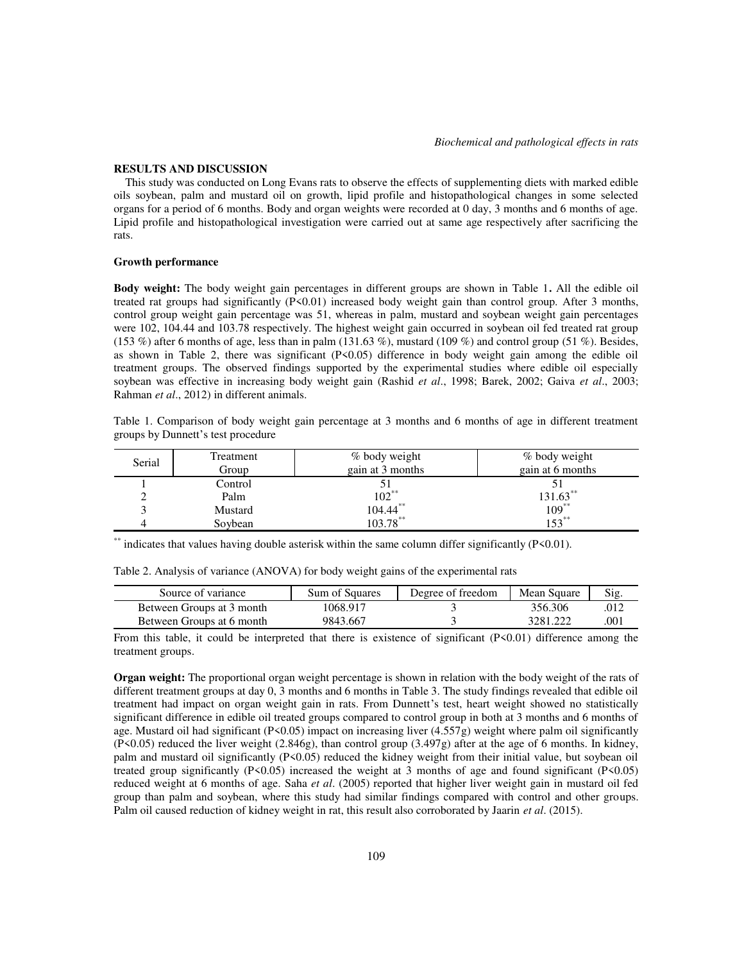#### **RESULTS AND DISCUSSION**

 This study was conducted on Long Evans rats to observe the effects of supplementing diets with marked edible oils soybean, palm and mustard oil on growth, lipid profile and histopathological changes in some selected organs for a period of 6 months. Body and organ weights were recorded at 0 day, 3 months and 6 months of age. Lipid profile and histopathological investigation were carried out at same age respectively after sacrificing the rats.

### **Growth performance**

**Body weight:** The body weight gain percentages in different groups are shown in Table 1**.** All the edible oil treated rat groups had significantly (P<0.01) increased body weight gain than control group. After 3 months, control group weight gain percentage was 51, whereas in palm, mustard and soybean weight gain percentages were 102, 104.44 and 103.78 respectively. The highest weight gain occurred in soybean oil fed treated rat group (153 %) after 6 months of age, less than in palm (131.63 %), mustard (109 %) and control group (51 %). Besides, as shown in Table 2, there was significant (P<0.05) difference in body weight gain among the edible oil treatment groups. The observed findings supported by the experimental studies where edible oil especially soybean was effective in increasing body weight gain (Rashid *et al*., 1998; Barek, 2002; Gaiva *et al*., 2003; Rahman *et al*., 2012) in different animals.

Table 1. Comparison of body weight gain percentage at 3 months and 6 months of age in different treatment groups by Dunnett's test procedure

| Serial | Treatment | % body weight    | % body weight    |
|--------|-----------|------------------|------------------|
|        | Group     | gain at 3 months | gain at 6 months |
|        | Control   |                  |                  |
|        | Palm      | $102^{**}$       | $131.63$ **      |
|        | Mustard   | 104.44           | $109***$         |
|        | Sovbean   | $103.78$ **      | $153^{**}$       |

\*\* indicates that values having double asterisk within the same column differ significantly (P<0.01).

| Table 2. Analysis of variance (ANOVA) for body weight gains of the experimental rats |  |  |
|--------------------------------------------------------------------------------------|--|--|
|                                                                                      |  |  |

| Source of variance        | Sum of Squares | Degree of freedom | Mean Square | Sig. |
|---------------------------|----------------|-------------------|-------------|------|
| Between Groups at 3 month | 1068.917       |                   | 356.306     | .012 |
| Between Groups at 6 month | 9843.667       |                   | 3281.222    | 001  |

From this table, it could be interpreted that there is existence of significant (P<0.01) difference among the treatment groups.

**Organ weight:** The proportional organ weight percentage is shown in relation with the body weight of the rats of different treatment groups at day 0, 3 months and 6 months in Table 3. The study findings revealed that edible oil treatment had impact on organ weight gain in rats. From Dunnett's test, heart weight showed no statistically significant difference in edible oil treated groups compared to control group in both at 3 months and 6 months of age. Mustard oil had significant (P<0.05) impact on increasing liver  $(4.557g)$  weight where palm oil significantly  $(P<0.05)$  reduced the liver weight  $(2.846g)$ , than control group  $(3.497g)$  after at the age of 6 months. In kidney, palm and mustard oil significantly (P<0.05) reduced the kidney weight from their initial value, but soybean oil treated group significantly (P<0.05) increased the weight at 3 months of age and found significant (P<0.05) reduced weight at 6 months of age. Saha *et al*. (2005) reported that higher liver weight gain in mustard oil fed group than palm and soybean, where this study had similar findings compared with control and other groups. Palm oil caused reduction of kidney weight in rat, this result also corroborated by Jaarin *et al*. (2015).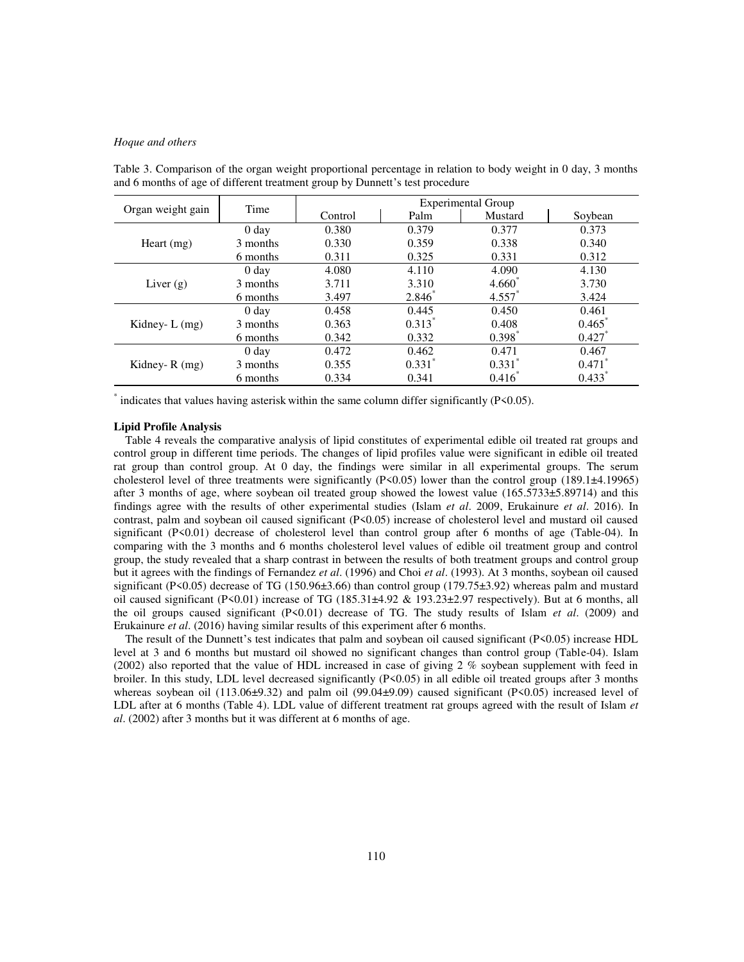|                   | Time             | <b>Experimental Group</b> |                   |                      |                      |
|-------------------|------------------|---------------------------|-------------------|----------------------|----------------------|
| Organ weight gain |                  | Control                   | Palm              | Mustard              | Soybean              |
|                   | 0 <sub>day</sub> | 0.380                     | 0.379             | 0.377                | 0.373                |
| Heart $(mg)$      | 3 months         | 0.330                     | 0.359             | 0.338                | 0.340                |
|                   | 6 months         | 0.311                     | 0.325             | 0.331                | 0.312                |
|                   | 0 <sub>day</sub> | 4.080                     | 4.110             | 4.090                | 4.130                |
| Liver $(g)$       | 3 months         | 3.711                     | 3.310             | $4.660*$             | 3.730                |
|                   | 6 months         | 3.497                     | $2.846^{\degree}$ | $4.557$ <sup>*</sup> | 3.424                |
|                   | 0 <sub>day</sub> | 0.458                     | 0.445             | 0.450                | 0.461                |
| Kidney- $L$ (mg)  | 3 months         | 0.363                     | $0.313*$          | 0.408                | 0.465                |
|                   | 6 months         | 0.342                     | 0.332             | $0.398^*$            | $0.427*$             |
|                   | 0 <sub>day</sub> | 0.472                     | 0.462             | 0.471                | 0.467                |
| Kidney- $R(mg)$   | 3 months         | 0.355                     | $0.331^*$         | $0.331$ <sup>*</sup> | $0.471$ <sup>*</sup> |
|                   | 6 months         | 0.334                     | 0.341             | $0.416^{\degree}$    | $0.433*$             |

Table 3. Comparison of the organ weight proportional percentage in relation to body weight in 0 day, 3 months and 6 months of age of different treatment group by Dunnett's test procedure

\* indicates that values having asterisk within the same column differ significantly (P<0.05).

### **Lipid Profile Analysis**

 Table 4 reveals the comparative analysis of lipid constitutes of experimental edible oil treated rat groups and control group in different time periods. The changes of lipid profiles value were significant in edible oil treated rat group than control group. At 0 day, the findings were similar in all experimental groups. The serum cholesterol level of three treatments were significantly (P<0.05) lower than the control group (189.1±4.19965) after 3 months of age, where soybean oil treated group showed the lowest value (165.5733±5.89714) and this findings agree with the results of other experimental studies (Islam *et al*. 2009, Erukainure *et al*. 2016). In contrast, palm and soybean oil caused significant (P<0.05) increase of cholesterol level and mustard oil caused significant (P<0.01) decrease of cholesterol level than control group after 6 months of age (Table-04). In comparing with the 3 months and 6 months cholesterol level values of edible oil treatment group and control group, the study revealed that a sharp contrast in between the results of both treatment groups and control group but it agrees with the findings of Fernandez *et al*. (1996) and Choi *et al*. (1993). At 3 months, soybean oil caused significant (P<0.05) decrease of TG (150.96±3.66) than control group (179.75±3.92) whereas palm and mustard oil caused significant (P<0.01) increase of TG (185.31 $\pm$ 4.92 & 193.23 $\pm$ 2.97 respectively). But at 6 months, all the oil groups caused significant (P<0.01) decrease of TG. The study results of Islam *et al*. (2009) and Erukainure *et al*. (2016) having similar results of this experiment after 6 months.

 The result of the Dunnett's test indicates that palm and soybean oil caused significant (P<0.05) increase HDL level at 3 and 6 months but mustard oil showed no significant changes than control group (Table-04). Islam (2002) also reported that the value of HDL increased in case of giving 2 % soybean supplement with feed in broiler. In this study, LDL level decreased significantly (P<0.05) in all edible oil treated groups after 3 months whereas soybean oil (113.06 $\pm$ 9.32) and palm oil (99.04 $\pm$ 9.09) caused significant (P<0.05) increased level of LDL after at 6 months (Table 4). LDL value of different treatment rat groups agreed with the result of Islam *et al*. (2002) after 3 months but it was different at 6 months of age.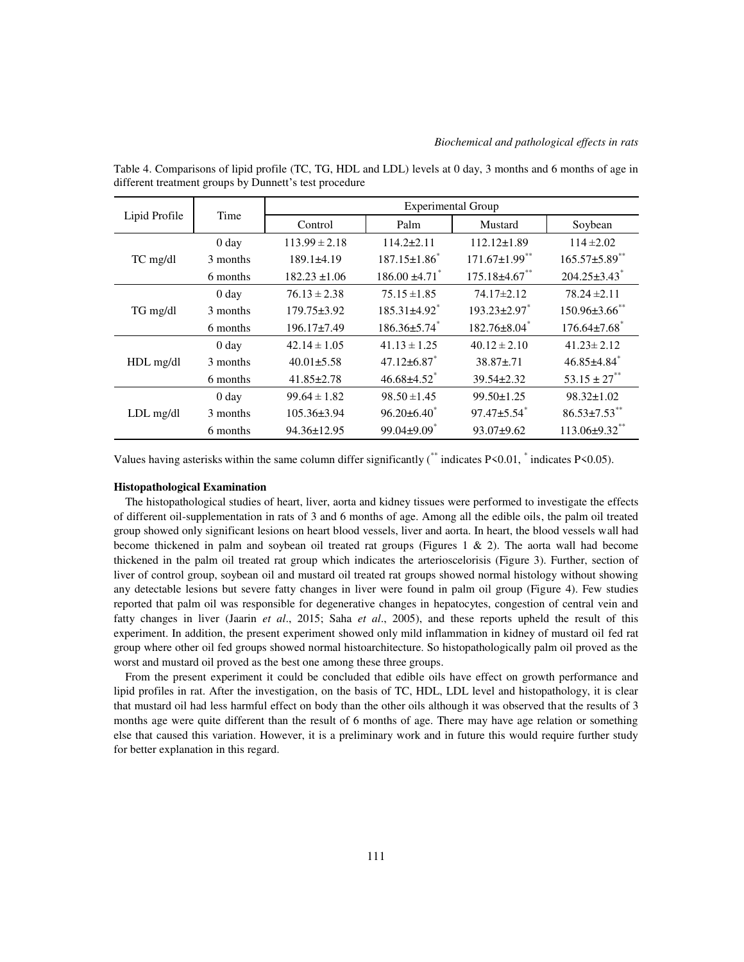| Lipid Profile | Time             | <b>Experimental Group</b> |                                |                                |                                |
|---------------|------------------|---------------------------|--------------------------------|--------------------------------|--------------------------------|
|               |                  | Control                   | Palm                           | Mustard                        | Soybean                        |
|               | 0 <sub>day</sub> | $113.99 \pm 2.18$         | $114.2 \pm 2.11$               | $112.12 \pm 1.89$              | $114 \pm 2.02$                 |
| TC mg/dl      | 3 months         | $189.1\pm4.19$            | $187.15 \pm 1.86$ <sup>*</sup> | $171.67 \pm 1.99$ **           | $165.57 \pm 5.89$ **           |
|               | 6 months         | $182.23 \pm 1.06$         | $186.00 \pm 4.71$ <sup>*</sup> | $175.18 \pm 4.67$ **           | $204.25 \pm 3.43$ <sup>*</sup> |
|               | 0 <sub>day</sub> | $76.13 \pm 2.38$          | $75.15 \pm 1.85$               | 74.17±2.12                     | $78.24 \pm 2.11$               |
| TG mg/dl      | 3 months         | 179.75±3.92               | $185.31\pm4.92$ <sup>*</sup>   | $193.23 \pm 2.97$ *            | $150.96 \pm 3.66$ **           |
|               | 6 months         | $196.17\pm7.49$           | $186.36 \pm 5.74$ <sup>*</sup> | $182.76 \pm 8.04$ <sup>*</sup> | $176.64 \pm 7.68$ <sup>*</sup> |
| HDL mg/dl     | 0 <sub>day</sub> | $42.14 \pm 1.05$          | $41.13 \pm 1.25$               | $40.12 \pm 2.10$               | $41.23 \pm 2.12$               |
|               | 3 months         | $40.01 \pm 5.58$          | $47.12\pm6.87$ <sup>*</sup>    | $38.87 \pm .71$                | $46.85 \pm 4.84$ <sup>*</sup>  |
|               | 6 months         | $41.85 \pm 2.78$          | $46.68{\pm}4.52$ <sup>*</sup>  | 39.54±2.32                     | $53.15 \pm 27$ <sup>**</sup>   |
| $LDL$ mg/dl   | 0 <sub>day</sub> | $99.64 \pm 1.82$          | $98.50 \pm 1.45$               | 99.50±1.25                     | $98.32 \pm 1.02$               |
|               | 3 months         | $105.36 \pm 3.94$         | $96.20 \pm 6.40^*$             | $97.47 \pm 5.54$ *             | $86.53 \pm 7.53$ **            |
|               | 6 months         | 94.36±12.95               | $99.04 \pm 9.09$ <sup>*</sup>  | $93.07 + 9.62$                 | $113.06 \pm 9.32$ **           |

Table 4. Comparisons of lipid profile (TC, TG, HDL and LDL) levels at 0 day, 3 months and 6 months of age in different treatment groups by Dunnett's test procedure

Values having asterisks within the same column differ significantly (\*\* indicates P<0.01, \* indicates P<0.05).

## **Histopathological Examination**

 The histopathological studies of heart, liver, aorta and kidney tissues were performed to investigate the effects of different oil-supplementation in rats of 3 and 6 months of age. Among all the edible oils, the palm oil treated group showed only significant lesions on heart blood vessels, liver and aorta. In heart, the blood vessels wall had become thickened in palm and soybean oil treated rat groups (Figures 1 & 2). The aorta wall had become thickened in the palm oil treated rat group which indicates the arterioscelorisis (Figure 3). Further, section of liver of control group, soybean oil and mustard oil treated rat groups showed normal histology without showing any detectable lesions but severe fatty changes in liver were found in palm oil group (Figure 4). Few studies reported that palm oil was responsible for degenerative changes in hepatocytes, congestion of central vein and fatty changes in liver (Jaarin *et al*., 2015; Saha *et al*., 2005), and these reports upheld the result of this experiment. In addition, the present experiment showed only mild inflammation in kidney of mustard oil fed rat group where other oil fed groups showed normal histoarchitecture. So histopathologically palm oil proved as the worst and mustard oil proved as the best one among these three groups.

 From the present experiment it could be concluded that edible oils have effect on growth performance and lipid profiles in rat. After the investigation, on the basis of TC, HDL, LDL level and histopathology, it is clear that mustard oil had less harmful effect on body than the other oils although it was observed that the results of 3 months age were quite different than the result of 6 months of age. There may have age relation or something else that caused this variation. However, it is a preliminary work and in future this would require further study for better explanation in this regard.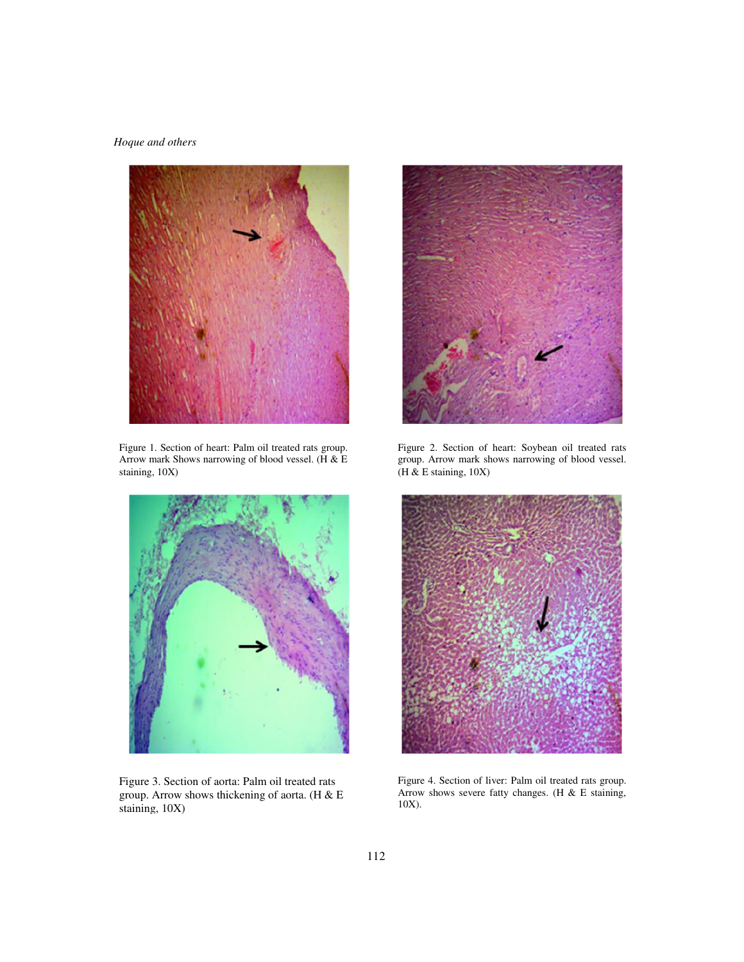

Figure 1. Section of heart: Palm oil treated rats group. Arrow mark Shows narrowing of blood vessel. (H & E staining, 10X)



Figure 3. Section of aorta: Palm oil treated rats group. Arrow shows thickening of aorta. (H & E staining, 10X)



Figure 2. Section of heart: Soybean oil treated rats group. Arrow mark shows narrowing of blood vessel. (H & E staining, 10X)



Figure 4. Section of liver: Palm oil treated rats group. Arrow shows severe fatty changes. (H & E staining, 10X).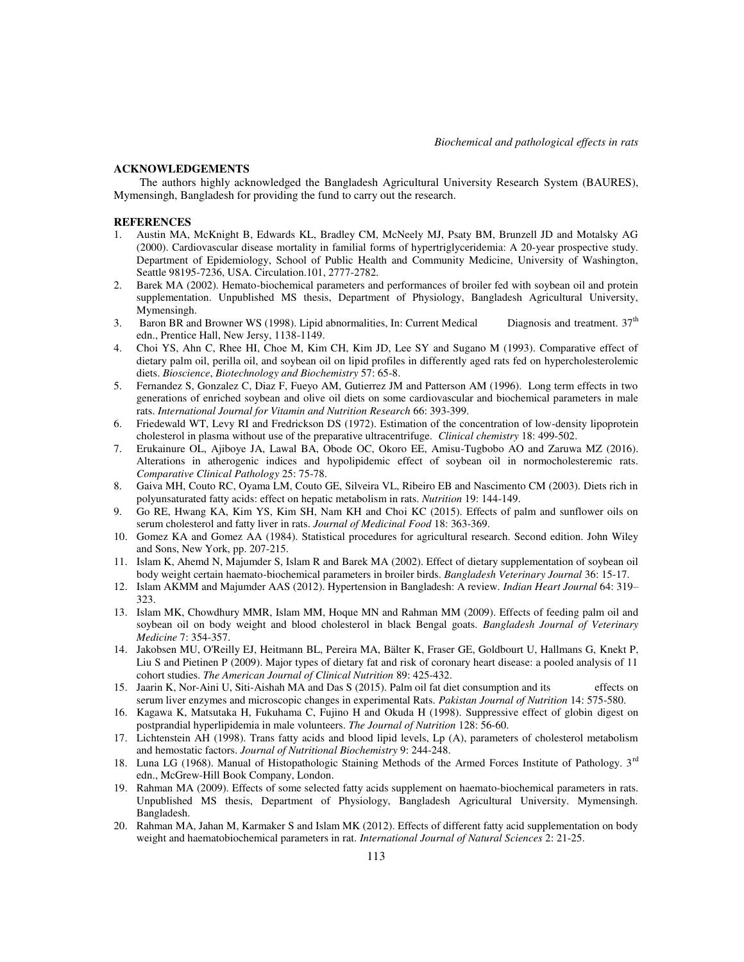### **ACKNOWLEDGEMENTS**

 The authors highly acknowledged the Bangladesh Agricultural University Research System (BAURES), Mymensingh, Bangladesh for providing the fund to carry out the research.

#### **REFERENCES**

- 1. Austin MA, McKnight B, Edwards KL, Bradley CM, McNeely MJ, Psaty BM, Brunzell JD and Motalsky AG (2000). Cardiovascular disease mortality in familial forms of hypertriglyceridemia: A 20-year prospective study. Department of Epidemiology, School of Public Health and Community Medicine, University of Washington, Seattle 98195-7236, USA. Circulation.101, 2777-2782.
- 2. Barek MA (2002). Hemato-biochemical parameters and performances of broiler fed with soybean oil and protein supplementation. Unpublished MS thesis, Department of Physiology, Bangladesh Agricultural University, Mymensingh.
- 3. Baron BR and Browner WS (1998). Lipid abnormalities, In: Current Medical Diagnosis and treatment.  $37<sup>th</sup>$ edn., Prentice Hall, New Jersy, 1138-1149.
- 4. Choi YS, Ahn C, Rhee HI, Choe M, Kim CH, Kim JD, Lee SY and Sugano M (1993). Comparative effect of dietary palm oil, perilla oil, and soybean oil on lipid profiles in differently aged rats fed on hypercholesterolemic diets. *Bioscience*, *Biotechnology and Biochemistry* 57: 65-8.
- 5. Fernandez S, Gonzalez C, Diaz F, Fueyo AM, Gutierrez JM and Patterson AM (1996). Long term effects in two generations of enriched soybean and olive oil diets on some cardiovascular and biochemical parameters in male rats. *International Journal for Vitamin and Nutrition Research* 66: 393-399.
- 6. Friedewald WT, Levy RI and Fredrickson DS (1972). Estimation of the concentration of low-density lipoprotein cholesterol in plasma without use of the preparative ultracentrifuge. *Clinical chemistry* 18: 499-502.
- 7. Erukainure OL, Ajiboye JA, Lawal BA, Obode OC, Okoro EE, Amisu-Tugbobo AO and Zaruwa MZ (2016). Alterations in atherogenic indices and hypolipidemic effect of soybean oil in normocholesteremic rats. *Comparative Clinical Pathology* 25: 75-78.
- 8. Gaiva MH, Couto RC, Oyama LM, Couto GE, Silveira VL, Ribeiro EB and Nascimento CM (2003). Diets rich in polyunsaturated fatty acids: effect on hepatic metabolism in rats. *Nutrition* 19: 144-149.
- 9. Go RE, Hwang KA, Kim YS, Kim SH, Nam KH and Choi KC (2015). Effects of palm and sunflower oils on serum cholesterol and fatty liver in rats. *Journal of Medicinal Food* 18: 363-369.
- 10. Gomez KA and Gomez AA (1984). Statistical procedures for agricultural research. Second edition. John Wiley and Sons, New York, pp. 207-215.
- 11. Islam K, Ahemd N, Majumder S, Islam R and Barek MA (2002). Effect of dietary supplementation of soybean oil body weight certain haemato-biochemical parameters in broiler birds. *Bangladesh Veterinary Journal* 36: 15-17.
- 12. Islam AKMM and Majumder AAS (2012). Hypertension in Bangladesh: A review. *Indian Heart Journal* 64: 319– 323.
- 13. Islam MK, Chowdhury MMR, Islam MM, Hoque MN and Rahman MM (2009). Effects of feeding palm oil and soybean oil on body weight and blood cholesterol in black Bengal goats. *Bangladesh Journal of Veterinary Medicine* 7: 354-357.
- 14. Jakobsen MU, O'Reilly EJ, Heitmann BL, Pereira MA, Bälter K, Fraser GE, Goldbourt U, Hallmans G, Knekt P, Liu S and Pietinen P (2009). Major types of dietary fat and risk of coronary heart disease: a pooled analysis of 11 cohort studies. *The American Journal of Clinical Nutrition* 89: 425-432.
- 15. Jaarin K, Nor-Aini U, Siti-Aishah MA and Das S (2015). Palm oil fat diet consumption and its effects on serum liver enzymes and microscopic changes in experimental Rats. *Pakistan Journal of Nutrition* 14: 575-580.
- 16. Kagawa K, Matsutaka H, Fukuhama C, Fujino H and Okuda H (1998). Suppressive effect of globin digest on postprandial hyperlipidemia in male volunteers. *The Journal of Nutrition* 128: 56-60.
- 17. Lichtenstein AH (1998). Trans fatty acids and blood lipid levels, Lp (A), parameters of cholesterol metabolism and hemostatic factors. *Journal of Nutritional Biochemistry* 9: 244-248.
- 18. Luna LG (1968). Manual of Histopathologic Staining Methods of the Armed Forces Institute of Pathology. 3<sup>rd</sup> edn., McGrew-Hill Book Company, London.
- 19. Rahman MA (2009). Effects of some selected fatty acids supplement on haemato-biochemical parameters in rats. Unpublished MS thesis, Department of Physiology, Bangladesh Agricultural University. Mymensingh. Bangladesh.
- 20. Rahman MA, Jahan M, Karmaker S and Islam MK (2012). Effects of different fatty acid supplementation on body weight and haematobiochemical parameters in rat. *International Journal of Natural Sciences* 2: 21-25.